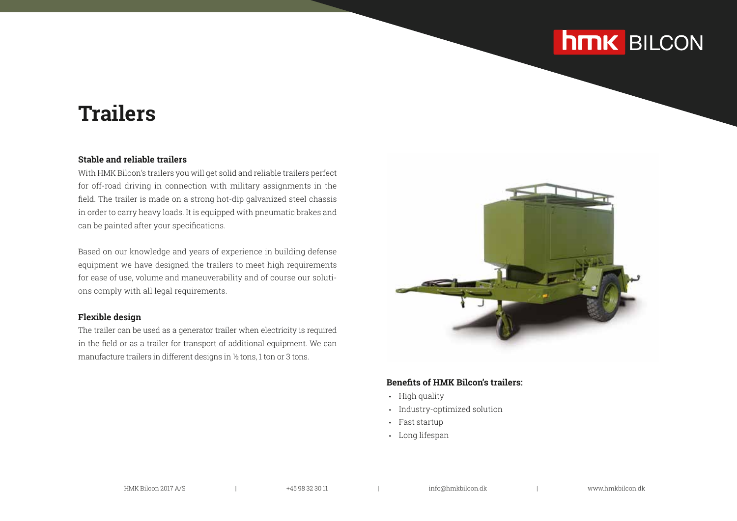## **hmk** BILCON

## **Trailers**

### **Stable and reliable trailers**

With HMK Bilcon's trailers you will get solid and reliable trailers perfect for off-road driving in connection with military assignments in the field. The trailer is made on a strong hot-dip galvanized steel chassis in order to carry heavy loads. It is equipped with pneumatic brakes and can be painted after your specifications.

Based on our knowledge and years of experience in building defense equipment we have designed the trailers to meet high requirements for ease of use, volume and maneuverability and of course our solutions comply with all legal requirements.

#### **Flexible design**

The trailer can be used as a generator trailer when electricity is required in the field or as a trailer for transport of additional equipment. We can manufacture trailers in different designs in ½ tons, 1 ton or 3 tons.



### **Benefits of HMK Bilcon's trailers:**

- High quality
- Industry-optimized solution
- Fast startup
- Long lifespan

HMK Bilcon 2017 A/S | +45 98 32 30 11 | info@hmkbilcon.dk | www.hmkbilcon.dk